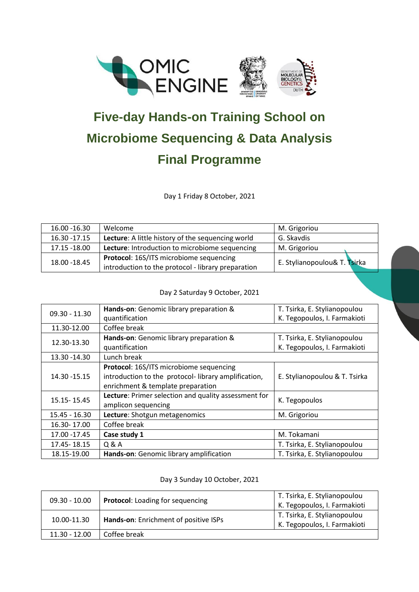



## **Five-day Hands-on Training School on Microbiome Sequencing & Data Analysis Final Programme**

Day 1 Friday 8 October, 2021

| 16.00 - 16.30 | Welcome                                                  | M. Grigoriou                 |
|---------------|----------------------------------------------------------|------------------------------|
| 16.30 - 17.15 | <b>Lecture:</b> A little history of the sequencing world | G. Skavdis                   |
| 17.15 -18.00  | Lecture: Introduction to microbiome sequencing           | M. Grigoriou                 |
| 18.00 - 18.45 | Protocol: 16S/ITS microbiome sequencing                  | E. Stylianopoulou& T. Tsirka |
|               | introduction to the protocol - library preparation       |                              |

Day 2 Saturday 9 October, 2021

| $09.30 - 11.30$ | Hands-on: Genomic library preparation &              | T. Tsirka, E. Stylianopoulou  |
|-----------------|------------------------------------------------------|-------------------------------|
|                 | quantification                                       | K. Tegopoulos, I. Farmakioti  |
| 11.30-12.00     | Coffee break                                         |                               |
| 12.30-13.30     | Hands-on: Genomic library preparation &              | T. Tsirka, E. Stylianopoulou  |
|                 | quantification                                       | K. Tegopoulos, I. Farmakioti  |
| 13.30 - 14.30   | Lunch break                                          |                               |
| 14.30 - 15.15   | Protocol: 16S/ITS microbiome sequencing              |                               |
|                 | introduction to the protocol-library amplification,  | E. Stylianopoulou & T. Tsirka |
|                 | enrichment & template preparation                    |                               |
| 15.15 - 15.45   | Lecture: Primer selection and quality assessment for | K. Tegopoulos                 |
|                 | amplicon sequencing                                  |                               |
| 15.45 - 16.30   | Lecture: Shotgun metagenomics                        | M. Grigoriou                  |
| 16.30-17.00     | Coffee break                                         |                               |
| 17.00 - 17.45   | Case study 1                                         | M. Tokamani                   |
| 17.45 - 18.15   | Q & A                                                | T. Tsirka, E. Stylianopoulou  |
| 18.15-19.00     | Hands-on: Genomic library amplification              | T. Tsirka, E. Stylianopoulou  |

## Day 3 Sunday 10 October, 2021

| $09.30 - 10.00$ | Protocol: Loading for sequencing      | T. Tsirka, E. Stylianopoulou<br>K. Tegopoulos, I. Farmakioti              |
|-----------------|---------------------------------------|---------------------------------------------------------------------------|
| 10.00-11.30     | Hands-on: Enrichment of positive ISPs | T. Tsirka, E. Stylianopoulou<br><sup>1</sup> K. Tegopoulos, I. Farmakioti |
| $11.30 - 12.00$ | Coffee break                          |                                                                           |